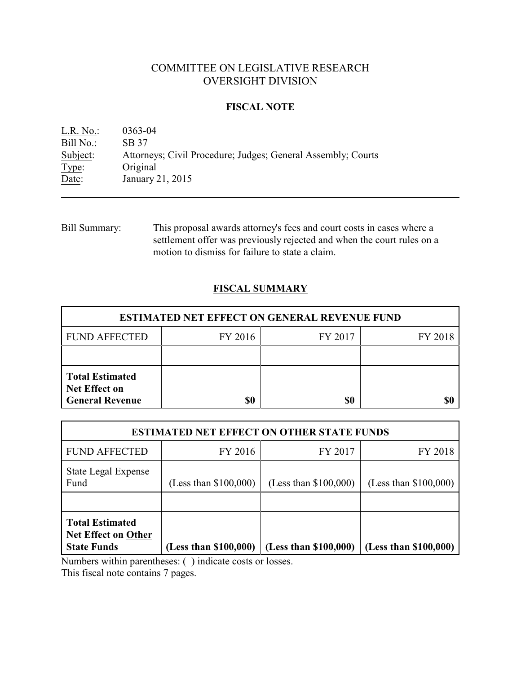# COMMITTEE ON LEGISLATIVE RESEARCH OVERSIGHT DIVISION

## **FISCAL NOTE**

L.R. No.: 0363-04 Bill No.: SB 37 Subject: Attorneys; Civil Procedure; Judges; General Assembly; Courts Type: Original Date: January 21, 2015

Bill Summary: This proposal awards attorney's fees and court costs in cases where a settlement offer was previously rejected and when the court rules on a motion to dismiss for failure to state a claim.

# **FISCAL SUMMARY**

| <b>ESTIMATED NET EFFECT ON GENERAL REVENUE FUND</b>                      |         |         |         |  |
|--------------------------------------------------------------------------|---------|---------|---------|--|
| <b>FUND AFFECTED</b>                                                     | FY 2016 | FY 2017 | FY 2018 |  |
|                                                                          |         |         |         |  |
| <b>Total Estimated</b><br><b>Net Effect on</b><br><b>General Revenue</b> | \$0     | \$0     |         |  |

| <b>ESTIMATED NET EFFECT ON OTHER STATE FUNDS</b>                    |                         |                         |                         |  |
|---------------------------------------------------------------------|-------------------------|-------------------------|-------------------------|--|
| <b>FUND AFFECTED</b>                                                | FY 2016                 | FY 2017                 | FY 2018                 |  |
| State Legal Expense<br>Fund                                         | (Less than $$100,000$ ) | (Less than $$100,000$ ) | (Less than $$100,000$ ) |  |
|                                                                     |                         |                         |                         |  |
| <b>Total Estimated</b><br>Net Effect on Other<br><b>State Funds</b> | (Less than \$100,000)   | (Less than \$100,000)   | (Less than \$100,000)   |  |

Numbers within parentheses: ( ) indicate costs or losses.

This fiscal note contains 7 pages.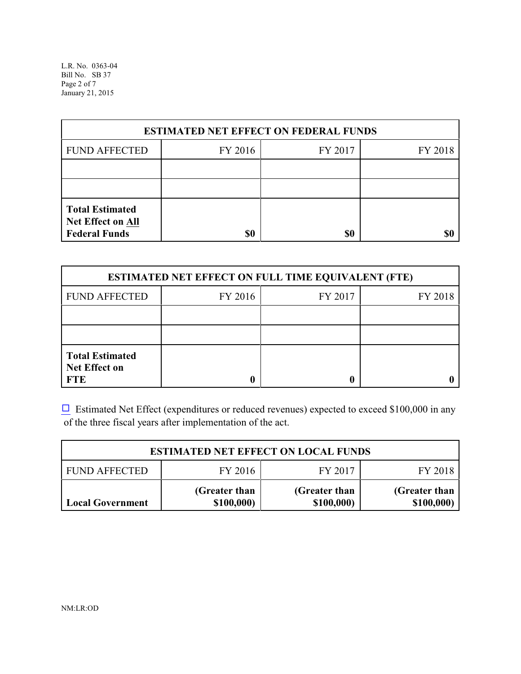L.R. No. 0363-04 Bill No. SB 37 Page 2 of 7 January 21, 2015

| <b>ESTIMATED NET EFFECT ON FEDERAL FUNDS</b>                               |         |         |         |  |  |
|----------------------------------------------------------------------------|---------|---------|---------|--|--|
| <b>FUND AFFECTED</b>                                                       | FY 2016 | FY 2017 | FY 2018 |  |  |
|                                                                            |         |         |         |  |  |
|                                                                            |         |         |         |  |  |
| <b>Total Estimated</b><br><b>Net Effect on All</b><br><b>Federal Funds</b> | \$0     | \$0     |         |  |  |

| <b>ESTIMATED NET EFFECT ON FULL TIME EQUIVALENT (FTE)</b>    |         |         |         |  |  |
|--------------------------------------------------------------|---------|---------|---------|--|--|
| <b>FUND AFFECTED</b>                                         | FY 2016 | FY 2017 | FY 2018 |  |  |
|                                                              |         |         |         |  |  |
|                                                              |         |         |         |  |  |
| <b>Total Estimated</b><br><b>Net Effect on</b><br><b>FTE</b> |         |         |         |  |  |

 $\Box$  Estimated Net Effect (expenditures or reduced revenues) expected to exceed \$100,000 in any of the three fiscal years after implementation of the act.

| <b>ESTIMATED NET EFFECT ON LOCAL FUNDS</b> |                             |                             |                             |  |
|--------------------------------------------|-----------------------------|-----------------------------|-----------------------------|--|
| <b>FUND AFFECTED</b>                       | FY 2016                     | FY 2017                     | FY 2018                     |  |
| Local Government                           | (Greater than<br>\$100,000) | (Greater than<br>\$100,000) | (Greater than<br>\$100,000) |  |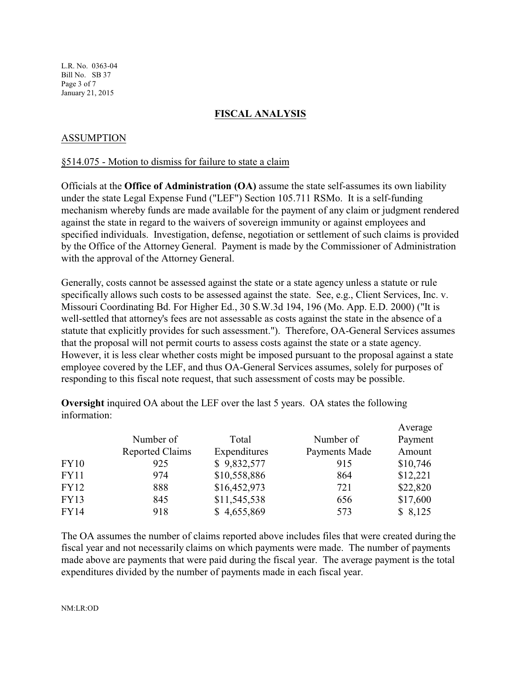L.R. No. 0363-04 Bill No. SB 37 Page 3 of 7 January 21, 2015

## **FISCAL ANALYSIS**

## ASSUMPTION

### §514.075 - Motion to dismiss for failure to state a claim

Officials at the **Office of Administration (OA)** assume the state self-assumes its own liability under the state Legal Expense Fund ("LEF") Section 105.711 RSMo. It is a self-funding mechanism whereby funds are made available for the payment of any claim or judgment rendered against the state in regard to the waivers of sovereign immunity or against employees and specified individuals. Investigation, defense, negotiation or settlement of such claims is provided by the Office of the Attorney General. Payment is made by the Commissioner of Administration with the approval of the Attorney General.

Generally, costs cannot be assessed against the state or a state agency unless a statute or rule specifically allows such costs to be assessed against the state. See, e.g., Client Services, Inc. v. Missouri Coordinating Bd. For Higher Ed., 30 S.W.3d 194, 196 (Mo. App. E.D. 2000) ("It is well-settled that attorney's fees are not assessable as costs against the state in the absence of a statute that explicitly provides for such assessment."). Therefore, OA-General Services assumes that the proposal will not permit courts to assess costs against the state or a state agency. However, it is less clear whether costs might be imposed pursuant to the proposal against a state employee covered by the LEF, and thus OA-General Services assumes, solely for purposes of responding to this fiscal note request, that such assessment of costs may be possible.

**Oversight** inquired OA about the LEF over the last 5 years. OA states the following information:

|             |                        |              |               | Average  |
|-------------|------------------------|--------------|---------------|----------|
|             | Number of              | Total        | Number of     | Payment  |
|             | <b>Reported Claims</b> | Expenditures | Payments Made | Amount   |
| <b>FY10</b> | 925                    | \$9,832,577  | 915           | \$10,746 |
| <b>FY11</b> | 974                    | \$10,558,886 | 864           | \$12,221 |
| FY12        | 888                    | \$16,452,973 | 721           | \$22,820 |
| <b>FY13</b> | 845                    | \$11,545,538 | 656           | \$17,600 |
| <b>FY14</b> | 918                    | \$4,655,869  | 573           | \$8,125  |

The OA assumes the number of claims reported above includes files that were created during the fiscal year and not necessarily claims on which payments were made. The number of payments made above are payments that were paid during the fiscal year. The average payment is the total expenditures divided by the number of payments made in each fiscal year.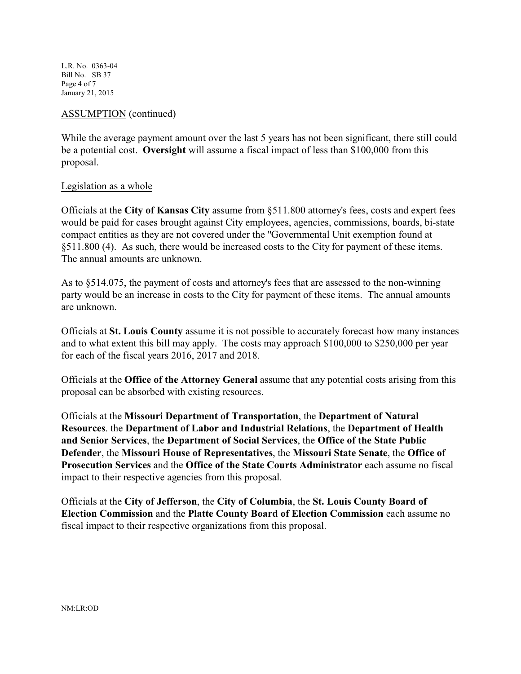L.R. No. 0363-04 Bill No. SB 37 Page 4 of 7 January 21, 2015

## ASSUMPTION (continued)

While the average payment amount over the last 5 years has not been significant, there still could be a potential cost. **Oversight** will assume a fiscal impact of less than \$100,000 from this proposal.

### Legislation as a whole

Officials at the **City of Kansas City** assume from §511.800 attorney's fees, costs and expert fees would be paid for cases brought against City employees, agencies, commissions, boards, bi-state compact entities as they are not covered under the "Governmental Unit exemption found at §511.800 (4). As such, there would be increased costs to the City for payment of these items. The annual amounts are unknown.

As to §514.075, the payment of costs and attorney's fees that are assessed to the non-winning party would be an increase in costs to the City for payment of these items. The annual amounts are unknown.

Officials at **St. Louis County** assume it is not possible to accurately forecast how many instances and to what extent this bill may apply. The costs may approach \$100,000 to \$250,000 per year for each of the fiscal years 2016, 2017 and 2018.

Officials at the **Office of the Attorney General** assume that any potential costs arising from this proposal can be absorbed with existing resources.

Officials at the **Missouri Department of Transportation**, the **Department of Natural Resources**. the **Department of Labor and Industrial Relations**, the **Department of Health and Senior Services**, the **Department of Social Services**, the **Office of the State Public Defender**, the **Missouri House of Representatives**, the **Missouri State Senate**, the **Office of Prosecution Services** and the **Office of the State Courts Administrator** each assume no fiscal impact to their respective agencies from this proposal.

Officials at the **City of Jefferson**, the **City of Columbia**, the **St. Louis County Board of Election Commission** and the **Platte County Board of Election Commission** each assume no fiscal impact to their respective organizations from this proposal.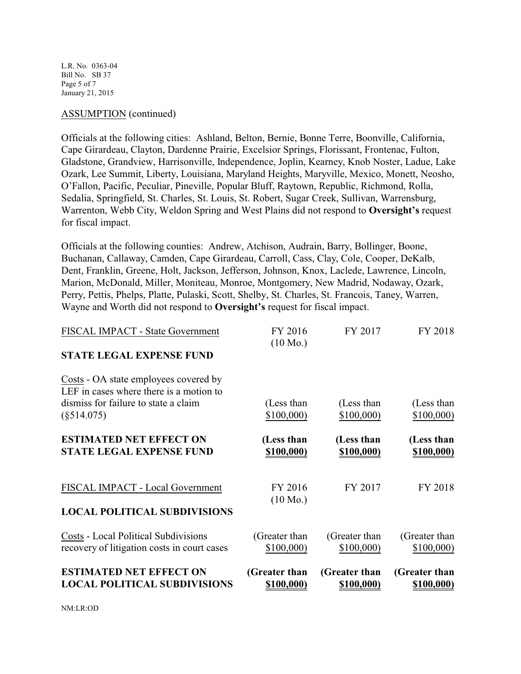L.R. No. 0363-04 Bill No. SB 37 Page 5 of 7 January 21, 2015

### ASSUMPTION (continued)

Officials at the following cities: Ashland, Belton, Bernie, Bonne Terre, Boonville, California, Cape Girardeau, Clayton, Dardenne Prairie, Excelsior Springs, Florissant, Frontenac, Fulton, Gladstone, Grandview, Harrisonville, Independence, Joplin, Kearney, Knob Noster, Ladue, Lake Ozark, Lee Summit, Liberty, Louisiana, Maryland Heights, Maryville, Mexico, Monett, Neosho, O'Fallon, Pacific, Peculiar, Pineville, Popular Bluff, Raytown, Republic, Richmond, Rolla, Sedalia, Springfield, St. Charles, St. Louis, St. Robert, Sugar Creek, Sullivan, Warrensburg, Warrenton, Webb City, Weldon Spring and West Plains did not respond to **Oversight's** request for fiscal impact.

Officials at the following counties: Andrew, Atchison, Audrain, Barry, Bollinger, Boone, Buchanan, Callaway, Camden, Cape Girardeau, Carroll, Cass, Clay, Cole, Cooper, DeKalb, Dent, Franklin, Greene, Holt, Jackson, Jefferson, Johnson, Knox, Laclede, Lawrence, Lincoln, Marion, McDonald, Miller, Moniteau, Monroe, Montgomery, New Madrid, Nodaway, Ozark, Perry, Pettis, Phelps, Platte, Pulaski, Scott, Shelby, St. Charles, St. Francois, Taney, Warren, Wayne and Worth did not respond to **Oversight's** request for fiscal impact.

| <b>ESTIMATED NET EFFECT ON</b><br><b>LOCAL POLITICAL SUBDIVISIONS</b>                                                                     | (Greater than<br>\$100,000)   | (Greater than<br>\$100,000) | (Greater than<br><u>\$100,000)</u> |
|-------------------------------------------------------------------------------------------------------------------------------------------|-------------------------------|-----------------------------|------------------------------------|
| <b>Costs - Local Political Subdivisions</b><br>recovery of litigation costs in court cases                                                | (Greater than<br>\$100,000    | (Greater than<br>\$100,000  | (Greater than<br>\$100,000         |
| <b>LOCAL POLITICAL SUBDIVISIONS</b>                                                                                                       |                               |                             |                                    |
| FISCAL IMPACT - Local Government                                                                                                          | FY 2016<br>$(10 \text{ Mo.})$ | FY 2017                     | FY 2018                            |
| <b>ESTIMATED NET EFFECT ON</b><br><b>STATE LEGAL EXPENSE FUND</b>                                                                         | (Less than<br>\$100,000)      | (Less than<br>\$100,000)    | (Less than<br>\$100,000)           |
| Costs - OA state employees covered by<br>LEF in cases where there is a motion to<br>dismiss for failure to state a claim<br>$(\$514.075)$ | (Less than<br>\$100,000       | (Less than<br>\$100,000     | (Less than<br>\$100,000            |
| <b>STATE LEGAL EXPENSE FUND</b>                                                                                                           |                               |                             |                                    |
| FISCAL IMPACT - State Government                                                                                                          | FY 2016<br>$(10 \text{ Mo.})$ | FY 2017                     | FY 2018                            |

NM:LR:OD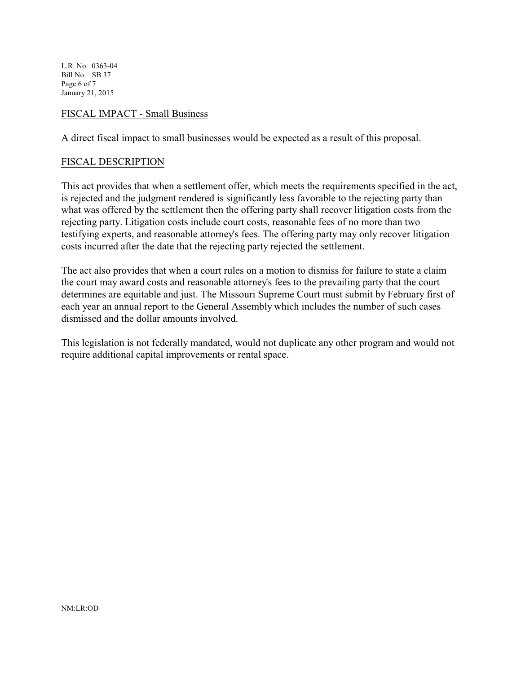L.R. No. 0363-04 Bill No. SB 37 Page 6 of 7 January 21, 2015

## FISCAL IMPACT - Small Business

A direct fiscal impact to small businesses would be expected as a result of this proposal.

### FISCAL DESCRIPTION

This act provides that when a settlement offer, which meets the requirements specified in the act, is rejected and the judgment rendered is significantly less favorable to the rejecting party than what was offered by the settlement then the offering party shall recover litigation costs from the rejecting party. Litigation costs include court costs, reasonable fees of no more than two testifying experts, and reasonable attorney's fees. The offering party may only recover litigation costs incurred after the date that the rejecting party rejected the settlement.

The act also provides that when a court rules on a motion to dismiss for failure to state a claim the court may award costs and reasonable attorney's fees to the prevailing party that the court determines are equitable and just. The Missouri Supreme Court must submit by February first of each year an annual report to the General Assembly which includes the number of such cases dismissed and the dollar amounts involved.

This legislation is not federally mandated, would not duplicate any other program and would not require additional capital improvements or rental space.